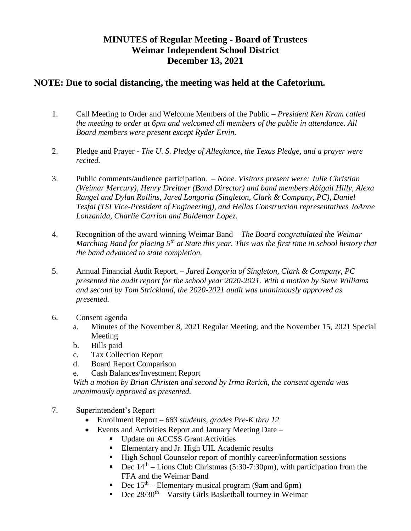## **MINUTES of Regular Meeting - Board of Trustees Weimar Independent School District December 13, 2021**

## **NOTE: Due to social distancing, the meeting was held at the Cafetorium.**

- 1. Call Meeting to Order and Welcome Members of the Public *President Ken Kram called the meeting to order at 6pm and welcomed all members of the public in attendance. All Board members were present except Ryder Ervin.*
- 2. Pledge and Prayer *The U. S. Pledge of Allegiance, the Texas Pledge, and a prayer were recited.*
- 3. Public comments/audience participation. *None. Visitors present were: Julie Christian (Weimar Mercury), Henry Dreitner (Band Director) and band members Abigail Hilly, Alexa Rangel and Dylan Rollins, Jared Longoria (Singleton, Clark & Company, PC), Daniel Tesfai (TSI Vice-President of Engineering), and Hellas Construction representatives JoAnne Lonzanida, Charlie Carrion and Baldemar Lopez.*
- 4. Recognition of the award winning Weimar Band *The Board congratulated the Weimar Marching Band for placing 5th at State this year. This was the first time in school history that the band advanced to state completion.*
- 5. Annual Financial Audit Report. *Jared Longoria of Singleton, Clark & Company, PC presented the audit report for the school year 2020-2021. With a motion by Steve Williams and second by Tom Strickland, the 2020-2021 audit was unanimously approved as presented.*
- 6. Consent agenda
	- a. Minutes of the November 8, 2021 Regular Meeting, and the November 15, 2021 Special Meeting
	- b. Bills paid
	- c. Tax Collection Report
	- d. Board Report Comparison
	- e. Cash Balances/Investment Report

*With a motion by Brian Christen and second by Irma Rerich, the consent agenda was unanimously approved as presented.* 

- 7. Superintendent's Report
	- Enrollment Report *683 students, grades Pre-K thru 12*
	- Events and Activities Report and January Meeting Date *–*
		- **Update on ACCSS Grant Activities**
		- Elementary and Jr. High UIL Academic results
		- High School Counselor report of monthly career/information sessions
		- Dec  $14<sup>th</sup>$  Lions Club Christmas (5:30-7:30pm), with participation from the FFA and the Weimar Band
		- **Dec**  $15<sup>th</sup>$  Elementary musical program (9am and 6pm)
		- Dec  $28/30^{th}$  Varsity Girls Basketball tourney in Weimar